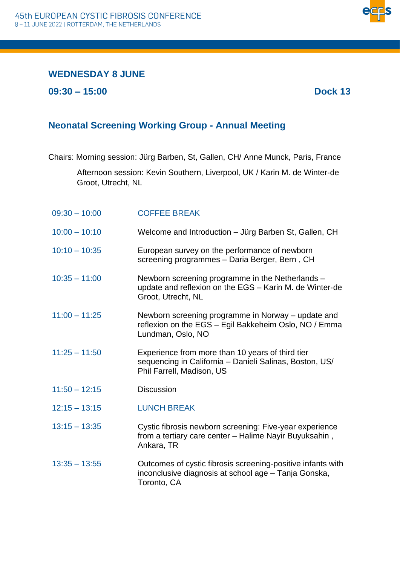## **WEDNESDAY 8 JUNE**

**09:30 – 15:00 Dock 13**

## **Neonatal Screening Working Group - Annual Meeting**

Chairs: Morning session: Jürg Barben, St, Gallen, CH/ Anne Munck, Paris, France

Afternoon session: Kevin Southern, Liverpool, UK / Karin M. de Winter‐de Groot, Utrecht, NL

| $09:30 - 10:00$ | <b>COFFEE BREAK</b>                                                                                                                      |
|-----------------|------------------------------------------------------------------------------------------------------------------------------------------|
| $10:00 - 10:10$ | Welcome and Introduction - Jürg Barben St, Gallen, CH                                                                                    |
| $10:10 - 10:35$ | European survey on the performance of newborn<br>screening programmes - Daria Berger, Bern, CH                                           |
| $10:35 - 11:00$ | Newborn screening programme in the Netherlands -<br>update and reflexion on the EGS - Karin M. de Winter-de<br>Groot, Utrecht, NL        |
| $11:00 - 11:25$ | Newborn screening programme in Norway - update and<br>reflexion on the EGS - Egil Bakkeheim Oslo, NO / Emma<br>Lundman, Oslo, NO         |
| $11:25 - 11:50$ | Experience from more than 10 years of third tier<br>sequencing in California - Danieli Salinas, Boston, US/<br>Phil Farrell, Madison, US |
| $11:50 - 12:15$ | <b>Discussion</b>                                                                                                                        |
| $12:15 - 13:15$ | <b>LUNCH BREAK</b>                                                                                                                       |
| $13:15 - 13:35$ | Cystic fibrosis newborn screening: Five-year experience<br>from a tertiary care center - Halime Nayir Buyuksahin,<br>Ankara, TR          |
| $13:35 - 13:55$ | Outcomes of cystic fibrosis screening-positive infants with<br>inconclusive diagnosis at school age - Tanja Gonska,<br>Toronto, CA       |